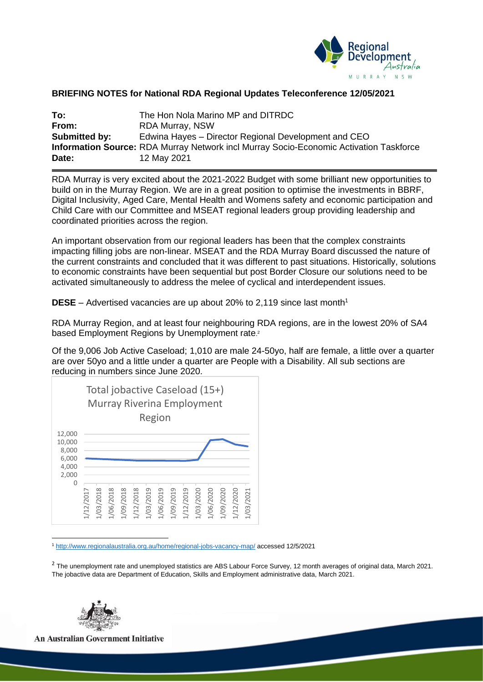

## **BRIEFING NOTES for National RDA Regional Updates Teleconference 12/05/2021**

| To:           | The Hon Nola Marino MP and DITRDC                                                             |
|---------------|-----------------------------------------------------------------------------------------------|
| From:         | <b>RDA Murray, NSW</b>                                                                        |
| Submitted by: | Edwina Hayes – Director Regional Development and CEO                                          |
|               | <b>Information Source:</b> RDA Murray Network incl Murray Socio-Economic Activation Taskforce |
| Date:         | 12 May 2021                                                                                   |

RDA Murray is very excited about the 2021-2022 Budget with some brilliant new opportunities to build on in the Murray Region. We are in a great position to optimise the investments in BBRF, Digital Inclusivity, Aged Care, Mental Health and Womens safety and economic participation and Child Care with our Committee and MSEAT regional leaders group providing leadership and coordinated priorities across the region.

An important observation from our regional leaders has been that the complex constraints impacting filling jobs are non-linear. MSEAT and the RDA Murray Board discussed the nature of the current constraints and concluded that it was different to past situations. Historically, solutions to economic constraints have been sequential but post Border Closure our solutions need to be activated simultaneously to address the melee of cyclical and interdependent issues.

**DESE** – Advertised vacancies are up about 20% to 2.119 since last month<sup>1</sup>

RDA Murray Region, and at least four neighbouring RDA regions, are in the lowest 20% of SA4 based Employment Regions by Unemployment rate.<sup>2</sup>

Of the 9,006 Job Active Caseload; 1,010 are male 24-50yo, half are female, a little over a quarter are over 50yo and a little under a quarter are People with a Disability. All sub sections are reducing in numbers since June 2020.



<sup>1</sup> <http://www.regionalaustralia.org.au/home/regional-jobs-vacancy-map/> accessed 12/5/2021

 $^2$  The unemployment rate and unemployed statistics are ABS Labour Force Survey, 12 month averages of original data, March 2021. The jobactive data are Department of Education, Skills and Employment administrative data, March 2021.



**An Australian Government Initiative**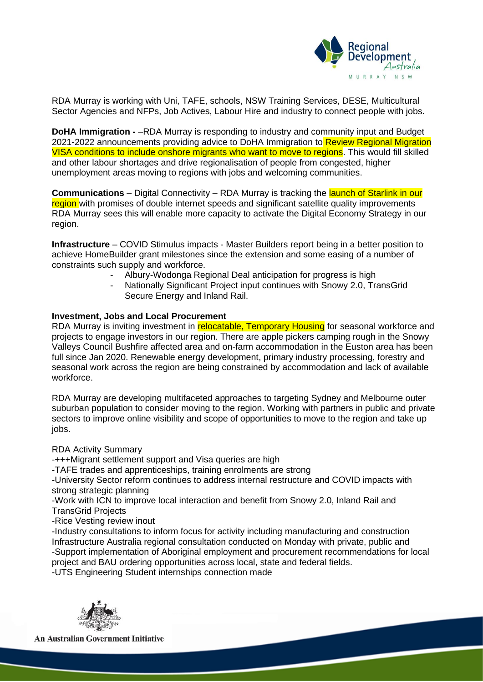

RDA Murray is working with Uni, TAFE, schools, NSW Training Services, DESE, Multicultural Sector Agencies and NFPs, Job Actives, Labour Hire and industry to connect people with jobs.

**DoHA Immigration -** –RDA Murray is responding to industry and community input and Budget 2021-2022 announcements providing advice to DoHA Immigration to Review Regional Migration VISA conditions to include onshore migrants who want to move to regions. This would fill skilled and other labour shortages and drive regionalisation of people from congested, higher unemployment areas moving to regions with jobs and welcoming communities.

**Communications** – Digital Connectivity – RDA Murray is tracking the launch of Starlink in our region with promises of double internet speeds and significant satellite quality improvements RDA Murray sees this will enable more capacity to activate the Digital Economy Strategy in our region.

**Infrastructure** – COVID Stimulus impacts - Master Builders report being in a better position to achieve HomeBuilder grant milestones since the extension and some easing of a number of constraints such supply and workforce.

- Albury-Wodonga Regional Deal anticipation for progress is high
- Nationally Significant Project input continues with Snowy 2.0, TransGrid Secure Energy and Inland Rail.

## **Investment, Jobs and Local Procurement**

RDA Murray is inviting investment in relocatable, Temporary Housing for seasonal workforce and projects to engage investors in our region. There are apple pickers camping rough in the Snowy Valleys Council Bushfire affected area and on-farm accommodation in the Euston area has been full since Jan 2020. Renewable energy development, primary industry processing, forestry and seasonal work across the region are being constrained by accommodation and lack of available workforce.

RDA Murray are developing multifaceted approaches to targeting Sydney and Melbourne outer suburban population to consider moving to the region. Working with partners in public and private sectors to improve online visibility and scope of opportunities to move to the region and take up jobs.

## RDA Activity Summary

-+++Migrant settlement support and Visa queries are high

-TAFE trades and apprenticeships, training enrolments are strong

-University Sector reform continues to address internal restructure and COVID impacts with strong strategic planning

-Work with ICN to improve local interaction and benefit from Snowy 2.0, Inland Rail and TransGrid Projects

-Rice Vesting review inout

-Industry consultations to inform focus for activity including manufacturing and construction Infrastructure Australia regional consultation conducted on Monday with private, public and -Support implementation of Aboriginal employment and procurement recommendations for local project and BAU ordering opportunities across local, state and federal fields.

-UTS Engineering Student internships connection made



**An Australian Government Initiative**